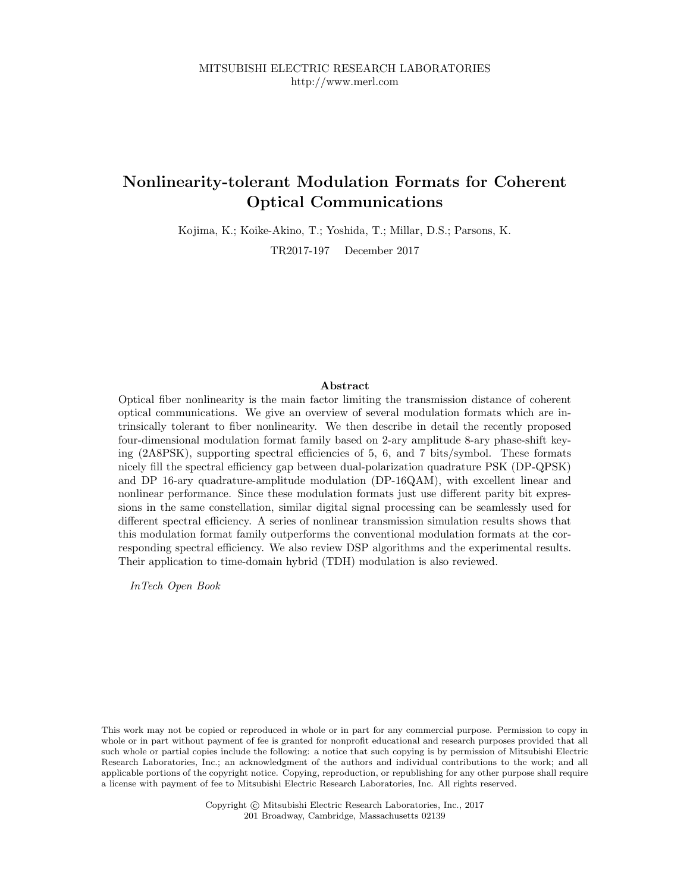## Nonlinearity-tolerant Modulation Formats for Coherent Optical Communications

Kojima, K.; Koike-Akino, T.; Yoshida, T.; Millar, D.S.; Parsons, K.

TR2017-197 December 2017

#### Abstract

Optical fiber nonlinearity is the main factor limiting the transmission distance of coherent optical communications. We give an overview of several modulation formats which are intrinsically tolerant to fiber nonlinearity. We then describe in detail the recently proposed four-dimensional modulation format family based on 2-ary amplitude 8-ary phase-shift keying (2A8PSK), supporting spectral efficiencies of 5, 6, and 7 bits/symbol. These formats nicely fill the spectral efficiency gap between dual-polarization quadrature PSK (DP-QPSK) and DP 16-ary quadrature-amplitude modulation (DP-16QAM), with excellent linear and nonlinear performance. Since these modulation formats just use different parity bit expressions in the same constellation, similar digital signal processing can be seamlessly used for different spectral efficiency. A series of nonlinear transmission simulation results shows that this modulation format family outperforms the conventional modulation formats at the corresponding spectral efficiency. We also review DSP algorithms and the experimental results. Their application to time-domain hybrid (TDH) modulation is also reviewed.

InTech Open Book

This work may not be copied or reproduced in whole or in part for any commercial purpose. Permission to copy in whole or in part without payment of fee is granted for nonprofit educational and research purposes provided that all such whole or partial copies include the following: a notice that such copying is by permission of Mitsubishi Electric Research Laboratories, Inc.; an acknowledgment of the authors and individual contributions to the work; and all applicable portions of the copyright notice. Copying, reproduction, or republishing for any other purpose shall require a license with payment of fee to Mitsubishi Electric Research Laboratories, Inc. All rights reserved.

> Copyright  $\odot$  Mitsubishi Electric Research Laboratories, Inc., 2017 201 Broadway, Cambridge, Massachusetts 02139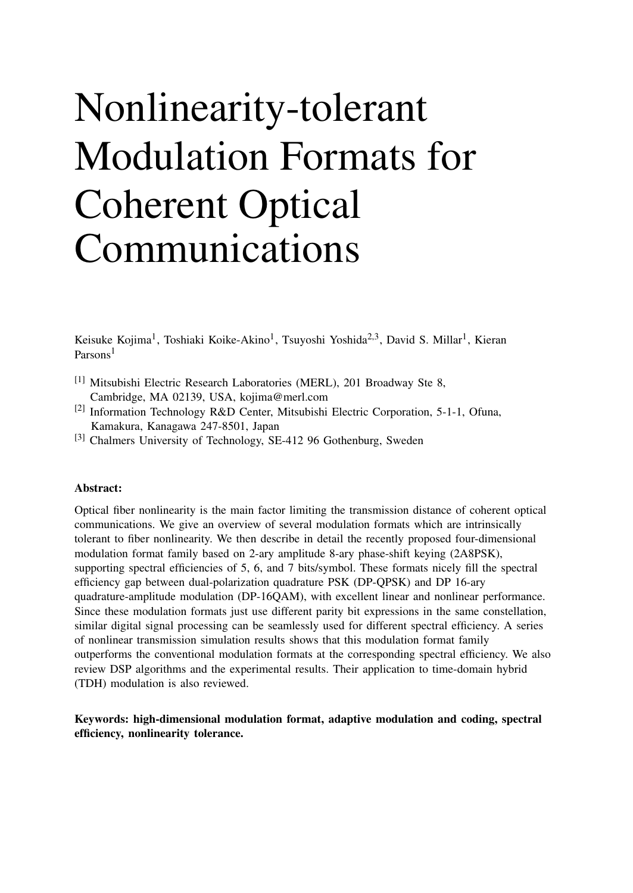# Nonlinearity-tolerant Modulation Formats for Coherent Optical Communications

Keisuke Kojima<sup>1</sup>, Toshiaki Koike-Akino<sup>1</sup>, Tsuyoshi Yoshida<sup>2,3</sup>, David S. Millar<sup>1</sup>, Kieran Parsons<sup>1</sup>

- [1] Mitsubishi Electric Research Laboratories (MERL), 201 Broadway Ste 8, Cambridge, MA 02139, USA, kojima@merl.com
- [2] Information Technology R&D Center, Mitsubishi Electric Corporation, 5-1-1, Ofuna, Kamakura, Kanagawa 247-8501, Japan
- [3] Chalmers University of Technology, SE-412 96 Gothenburg, Sweden

#### Abstract:

Optical fiber nonlinearity is the main factor limiting the transmission distance of coherent optical communications. We give an overview of several modulation formats which are intrinsically tolerant to fiber nonlinearity. We then describe in detail the recently proposed four-dimensional modulation format family based on 2-ary amplitude 8-ary phase-shift keying (2A8PSK), supporting spectral efficiencies of 5, 6, and 7 bits/symbol. These formats nicely fill the spectral efficiency gap between dual-polarization quadrature PSK (DP-QPSK) and DP 16-ary quadrature-amplitude modulation (DP-16QAM), with excellent linear and nonlinear performance. Since these modulation formats just use different parity bit expressions in the same constellation, similar digital signal processing can be seamlessly used for different spectral efficiency. A series of nonlinear transmission simulation results shows that this modulation format family outperforms the conventional modulation formats at the corresponding spectral efficiency. We also review DSP algorithms and the experimental results. Their application to time-domain hybrid (TDH) modulation is also reviewed.

## Keywords: high-dimensional modulation format, adaptive modulation and coding, spectral efficiency, nonlinearity tolerance.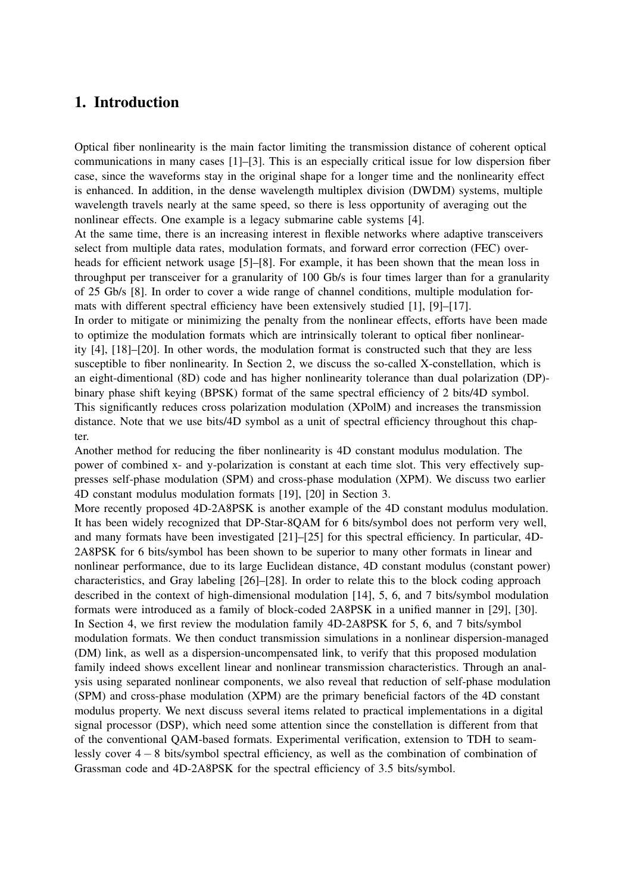## 1. Introduction

Optical fiber nonlinearity is the main factor limiting the transmission distance of coherent optical communications in many cases [1]–[3]. This is an especially critical issue for low dispersion fiber case, since the waveforms stay in the original shape for a longer time and the nonlinearity effect is enhanced. In addition, in the dense wavelength multiplex division (DWDM) systems, multiple wavelength travels nearly at the same speed, so there is less opportunity of averaging out the nonlinear effects. One example is a legacy submarine cable systems [4].

At the same time, there is an increasing interest in flexible networks where adaptive transceivers select from multiple data rates, modulation formats, and forward error correction (FEC) overheads for efficient network usage [5]–[8]. For example, it has been shown that the mean loss in throughput per transceiver for a granularity of 100 Gb/s is four times larger than for a granularity of 25 Gb/s [8]. In order to cover a wide range of channel conditions, multiple modulation formats with different spectral efficiency have been extensively studied [1], [9]–[17].

In order to mitigate or minimizing the penalty from the nonlinear effects, efforts have been made to optimize the modulation formats which are intrinsically tolerant to optical fiber nonlinearity [4], [18]–[20]. In other words, the modulation format is constructed such that they are less susceptible to fiber nonlinearity. In Section 2, we discuss the so-called X-constellation, which is an eight-dimentional (8D) code and has higher nonlinearity tolerance than dual polarization (DP) binary phase shift keying (BPSK) format of the same spectral efficiency of 2 bits/4D symbol. This significantly reduces cross polarization modulation (XPolM) and increases the transmission distance. Note that we use bits/4D symbol as a unit of spectral efficiency throughout this chapter.

Another method for reducing the fiber nonlinearity is 4D constant modulus modulation. The power of combined x- and y-polarization is constant at each time slot. This very effectively suppresses self-phase modulation (SPM) and cross-phase modulation (XPM). We discuss two earlier 4D constant modulus modulation formats [19], [20] in Section 3.

More recently proposed 4D-2A8PSK is another example of the 4D constant modulus modulation. It has been widely recognized that DP-Star-8QAM for 6 bits/symbol does not perform very well, and many formats have been investigated [21]–[25] for this spectral efficiency. In particular, 4D-2A8PSK for 6 bits/symbol has been shown to be superior to many other formats in linear and nonlinear performance, due to its large Euclidean distance, 4D constant modulus (constant power) characteristics, and Gray labeling [26]–[28]. In order to relate this to the block coding approach described in the context of high-dimensional modulation [14], 5, 6, and 7 bits/symbol modulation formats were introduced as a family of block-coded 2A8PSK in a unified manner in [29], [30]. In Section 4, we first review the modulation family 4D-2A8PSK for 5, 6, and 7 bits/symbol modulation formats. We then conduct transmission simulations in a nonlinear dispersion-managed (DM) link, as well as a dispersion-uncompensated link, to verify that this proposed modulation family indeed shows excellent linear and nonlinear transmission characteristics. Through an analysis using separated nonlinear components, we also reveal that reduction of self-phase modulation (SPM) and cross-phase modulation (XPM) are the primary beneficial factors of the 4D constant modulus property. We next discuss several items related to practical implementations in a digital signal processor (DSP), which need some attention since the constellation is different from that of the conventional QAM-based formats. Experimental verification, extension to TDH to seamlessly cover 4 − 8 bits/symbol spectral efficiency, as well as the combination of combination of Grassman code and 4D-2A8PSK for the spectral efficiency of 3.5 bits/symbol.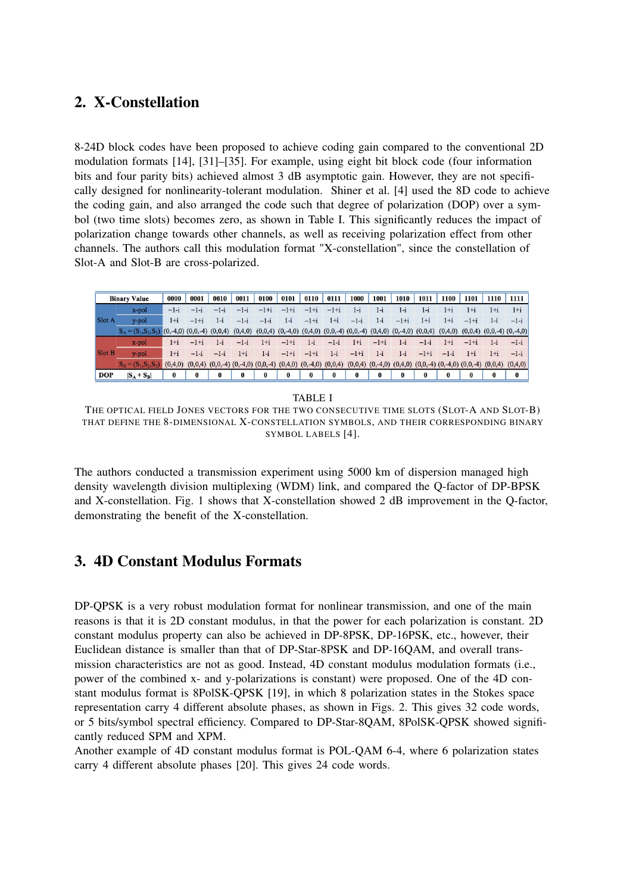## 2. X-Constellation

8-24D block codes have been proposed to achieve coding gain compared to the conventional 2D modulation formats [14], [31]–[35]. For example, using eight bit block code (four information bits and four parity bits) achieved almost 3 dB asymptotic gain. However, they are not specifically designed for nonlinearity-tolerant modulation. Shiner et al. [4] used the 8D code to achieve the coding gain, and also arranged the code such that degree of polarization (DOP) over a symbol (two time slots) becomes zero, as shown in Table I. This significantly reduces the impact of polarization change towards other channels, as well as receiving polarization effect from other channels. The authors call this modulation format "X-constellation", since the constellation of Slot-A and Slot-B are cross-polarized.

| <b>Binary Value</b> |                                                   | 0000      | 0001                                                                                                                                                         | 0010     | 0011   | 0100     | 0101                                                                                          | 0110     | 0111   | 1000    | 1001   | 1010   | 1011   | 1100   | 1101     | 1110  | 1111                                      |
|---------------------|---------------------------------------------------|-----------|--------------------------------------------------------------------------------------------------------------------------------------------------------------|----------|--------|----------|-----------------------------------------------------------------------------------------------|----------|--------|---------|--------|--------|--------|--------|----------|-------|-------------------------------------------|
| Slot A              | x-pol                                             | $-1-i$    | -                                                                                                                                                            |          |        |          | $-1+i$                                                                                        | $-1+i$   | $-1+i$ | $1 - i$ | 1-i    | 1-i    | $1-i$  | $1+i$  | 1+i      |       | $1+i$                                     |
|                     | y-pol                                             | $1 + i$   | $-1+i$                                                                                                                                                       | 1-i      | —1-i   | $-1 - i$ | 1-i                                                                                           | $-1+i$   | $1+i$  | $-1-i$  | 1-i    | $-1+i$ | $1+i$  | $1+i$  | $-1+i$   | 1-i   | $-1-i$                                    |
|                     | $S_A = (S_1, S_2, S_3)$ (0,-4,0) (0,0,-4) (0,0,4) |           |                                                                                                                                                              |          |        |          | $(0,4,0)$ $(0,0,4)$ $(0,-4,0)$ $(0,4,0)$ $(0,0,-4)$ $(0,0,-4)$ $(0,4,0)$ $(0,-4,0)$ $(0,0,4)$ |          |        |         |        |        |        |        |          |       | $(0,4,0)$ $(0,0,4)$ $(0,0,-4)$ $(0,-4,0)$ |
| Slot B              | x-pol                                             | $1+i$     | $-1+i$                                                                                                                                                       | 1-i      | $-1-i$ | $1+i$    | $-1+i$                                                                                        | 1-i      | $-1-i$ | $1+i$   | $-1+i$ | 1-i    | $-1-i$ | 1+i    | $-1+i$   | 1-i   | $-1-i$                                    |
|                     | y-pol                                             | $1+i$     | $-1$ -i                                                                                                                                                      | $-1-1$   | 1+i    | 1-i      | $-1+i$                                                                                        | $-1+i$   | 1-i    | $-1+i$  | 1-i    | 1-i    | $-1+i$ | $-1-1$ | 1+i      | $1+i$ | $-1-i$                                    |
|                     | $S_R = (S_1, S_2, S_3)$                           | (0, 4, 0) | $(0,0,4)$ $(0,0,-4)$ $(0,-4,0)$ $(0,0,-4)$ $(0,4,0)$ $(0,-4,0)$ $(0,0,4)$ $(0,0,4)$ $(0,-4,0)$ $(0,4,0)$ $(0,0,-4)$ $(0,0,-4)$ $(0,0,4)$ $(0,0,4)$ $(0,4,0)$ |          |        |          |                                                                                               |          |        |         |        |        |        |        |          |       |                                           |
| <b>DOP</b>          | $S_A + S_B$                                       | 0         | 0                                                                                                                                                            | $\bf{0}$ |        | 0        | $\bf{0}$                                                                                      | $\bf{0}$ | 0      | 0       |        | 0      |        | 0      | $\bf{0}$ |       | $\bf{0}$                                  |

TABLE I

THE OPTICAL FIELD JONES VECTORS FOR THE TWO CONSECUTIVE TIME SLOTS (SLOT-A AND SLOT-B) THAT DEFINE THE 8-DIMENSIONAL X-CONSTELLATION SYMBOLS, AND THEIR CORRESPONDING BINARY SYMBOL LABELS [4].

The authors conducted a transmission experiment using 5000 km of dispersion managed high density wavelength division multiplexing (WDM) link, and compared the Q-factor of DP-BPSK and X-constellation. Fig. 1 shows that X-constellation showed 2 dB improvement in the Q-factor, demonstrating the benefit of the X-constellation.

## 3. 4D Constant Modulus Formats

DP-QPSK is a very robust modulation format for nonlinear transmission, and one of the main reasons is that it is 2D constant modulus, in that the power for each polarization is constant. 2D constant modulus property can also be achieved in DP-8PSK, DP-16PSK, etc., however, their Euclidean distance is smaller than that of DP-Star-8PSK and DP-16QAM, and overall transmission characteristics are not as good. Instead, 4D constant modulus modulation formats (i.e., power of the combined x- and y-polarizations is constant) were proposed. One of the 4D constant modulus format is 8PolSK-QPSK [19], in which 8 polarization states in the Stokes space representation carry 4 different absolute phases, as shown in Figs. 2. This gives 32 code words, or 5 bits/symbol spectral efficiency. Compared to DP-Star-8QAM, 8PolSK-QPSK showed significantly reduced SPM and XPM.

Another example of 4D constant modulus format is POL-QAM 6-4, where 6 polarization states carry 4 different absolute phases [20]. This gives 24 code words.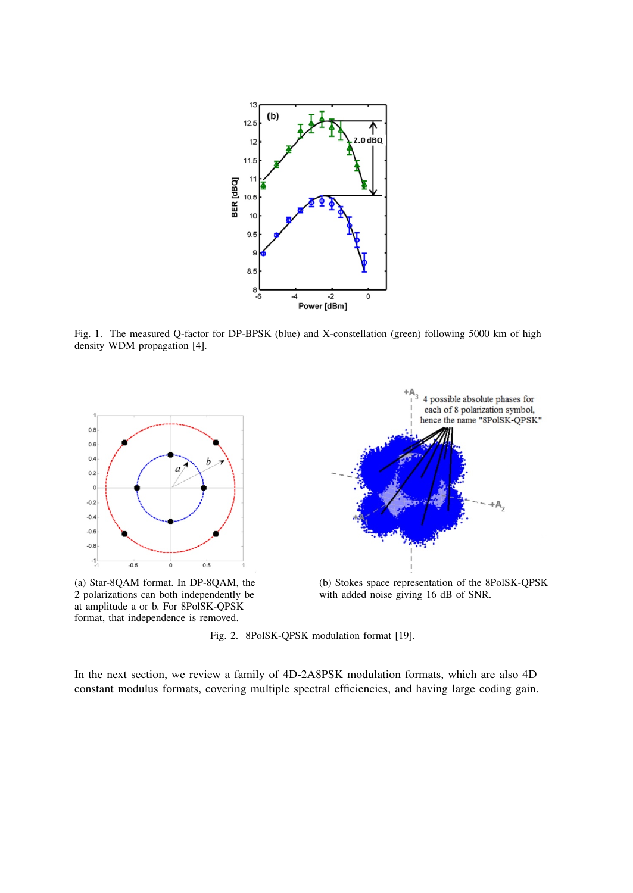

Fig. 1. The measured Q-factor for DP-BPSK (blue) and X-constellation (green) following 5000 km of high density WDM propagation [4].



Fig. 2. 8PolSK-QPSK modulation format [19].

format, that independence is removed.

In the next section, we review a family of 4D-2A8PSK modulation formats, which are also 4D constant modulus formats, covering multiple spectral efficiencies, and having large coding gain.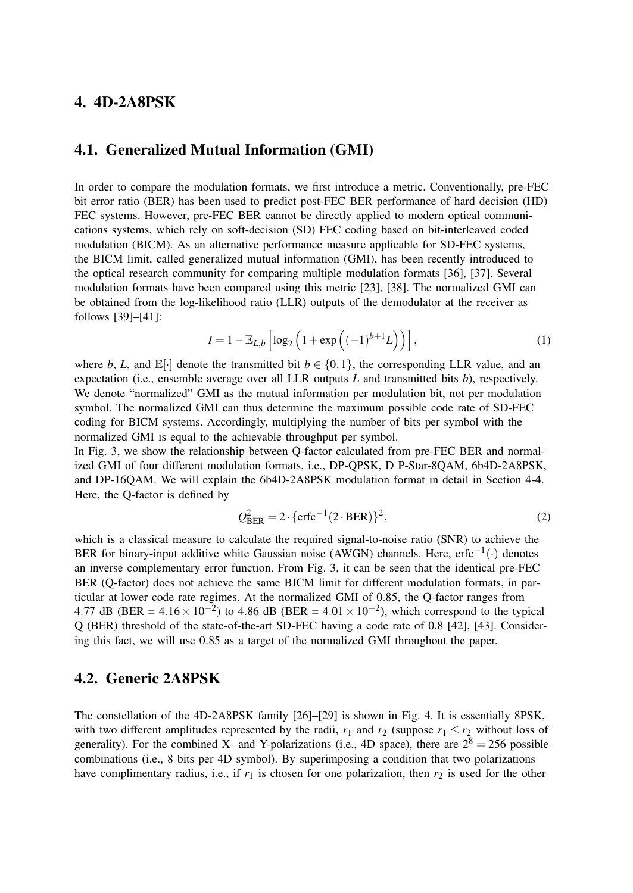## 4. 4D-2A8PSK

## 4.1. Generalized Mutual Information (GMI)

In order to compare the modulation formats, we first introduce a metric. Conventionally, pre-FEC bit error ratio (BER) has been used to predict post-FEC BER performance of hard decision (HD) FEC systems. However, pre-FEC BER cannot be directly applied to modern optical communications systems, which rely on soft-decision (SD) FEC coding based on bit-interleaved coded modulation (BICM). As an alternative performance measure applicable for SD-FEC systems, the BICM limit, called generalized mutual information (GMI), has been recently introduced to the optical research community for comparing multiple modulation formats [36], [37]. Several modulation formats have been compared using this metric [23], [38]. The normalized GMI can be obtained from the log-likelihood ratio (LLR) outputs of the demodulator at the receiver as follows [39]–[41]:

$$
I = 1 - \mathbb{E}_{L,b} \left[ \log_2 \left( 1 + \exp \left( (-1)^{b+1} L \right) \right) \right], \tag{1}
$$

where *b*, *L*, and  $\mathbb{E}[\cdot]$  denote the transmitted bit  $b \in \{0, 1\}$ , the corresponding LLR value, and an expectation (i.e., ensemble average over all LLR outputs *L* and transmitted bits *b*), respectively. We denote "normalized" GMI as the mutual information per modulation bit, not per modulation symbol. The normalized GMI can thus determine the maximum possible code rate of SD-FEC coding for BICM systems. Accordingly, multiplying the number of bits per symbol with the normalized GMI is equal to the achievable throughput per symbol.

In Fig. 3, we show the relationship between Q-factor calculated from pre-FEC BER and normalized GMI of four different modulation formats, i.e., DP-QPSK, D P-Star-8QAM, 6b4D-2A8PSK, and DP-16QAM. We will explain the 6b4D-2A8PSK modulation format in detail in Section 4-4. Here, the Q-factor is defined by

$$
Q_{\text{BER}}^2 = 2 \cdot \{ \text{erfc}^{-1} (2 \cdot \text{BER}) \}^2, \tag{2}
$$

which is a classical measure to calculate the required signal-to-noise ratio (SNR) to achieve the BER for binary-input additive white Gaussian noise (AWGN) channels. Here, erfc<sup>-1</sup>(·) denotes an inverse complementary error function. From Fig. 3, it can be seen that the identical pre-FEC BER (Q-factor) does not achieve the same BICM limit for different modulation formats, in particular at lower code rate regimes. At the normalized GMI of 0.85, the Q-factor ranges from 4.77 dB (BER =  $4.16 \times 10^{-2}$ ) to 4.86 dB (BER =  $4.01 \times 10^{-2}$ ), which correspond to the typical Q (BER) threshold of the state-of-the-art SD-FEC having a code rate of 0.8 [42], [43]. Considering this fact, we will use 0.85 as a target of the normalized GMI throughout the paper.

## 4.2. Generic 2A8PSK

The constellation of the 4D-2A8PSK family [26]–[29] is shown in Fig. 4. It is essentially 8PSK, with two different amplitudes represented by the radii,  $r_1$  and  $r_2$  (suppose  $r_1 \leq r_2$  without loss of generality). For the combined X- and Y-polarizations (i.e., 4D space), there are  $2^8 = 256$  possible combinations (i.e., 8 bits per 4D symbol). By superimposing a condition that two polarizations have complimentary radius, i.e., if  $r_1$  is chosen for one polarization, then  $r_2$  is used for the other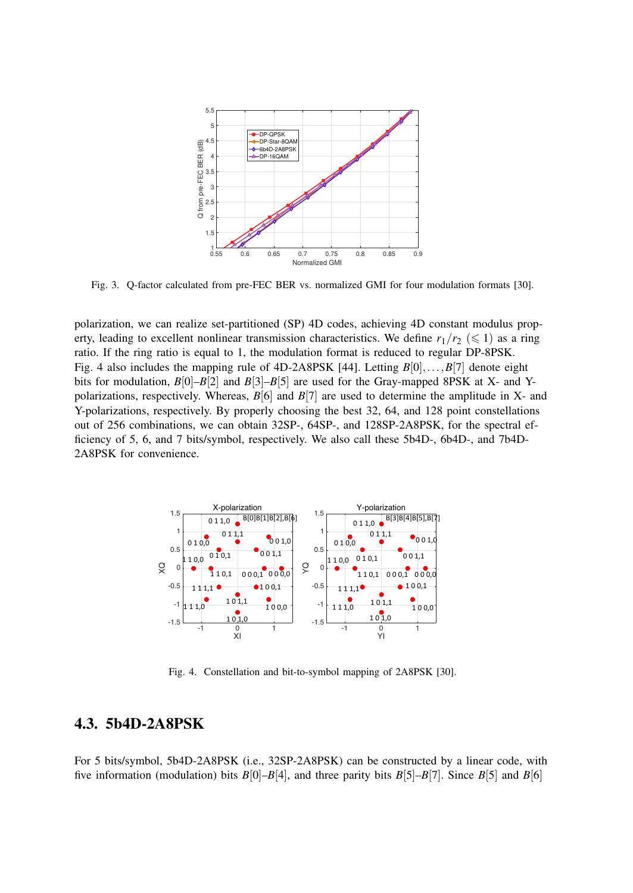

Fig. 3. Q-factor calculated from pre-FEC BER vs. normalized GMI for four modulation formats [30].

polarization, we can realize set-partitioned (SP) 4D codes, achieving 4D constant modulus property, leading to excellent nonlinear transmission characteristics. We define  $r_1/r_2 \leq 1$  as a ring ratio. If the ring ratio is equal to 1, the modulation format is reduced to regular DP-8PSK. Fig. 4 also includes the mapping rule of  $4D-2A8PSK$  [44]. Letting  $B[0],...,B[7]$  denote eight bits for modulation,  $B[0]-B[2]$  and  $B[3]-B[5]$  are used for the Gray-mapped 8PSK at X- and Ypolarizations, respectively. Whereas, *B*[6] and *B*[7] are used to determine the amplitude in X- and Y-polarizations, respectively. By properly choosing the best 32, 64, and 128 point constellations out of 256 combinations, we can obtain 32SP-, 64SP-, and 128SP-2A8PSK, for the spectral efficiency of 5, 6, and 7 bits/symbol, respectively. We also call these 5b4D-, 6b4D-, and 7b4D-2A8PSK for convenience.



Fig. 4. Constellation and bit-to-symbol mapping of 2A8PSK [30].

## 4.3. 5b4D-2A8PSK

For 5 bits/symbol, 5b4D-2A8PSK (i.e., 32SP-2A8PSK) can be constructed by a linear code, with five information (modulation) bits  $B[0]-B[4]$ , and three parity bits  $B[5]-B[7]$ . Since  $B[5]$  and  $B[6]$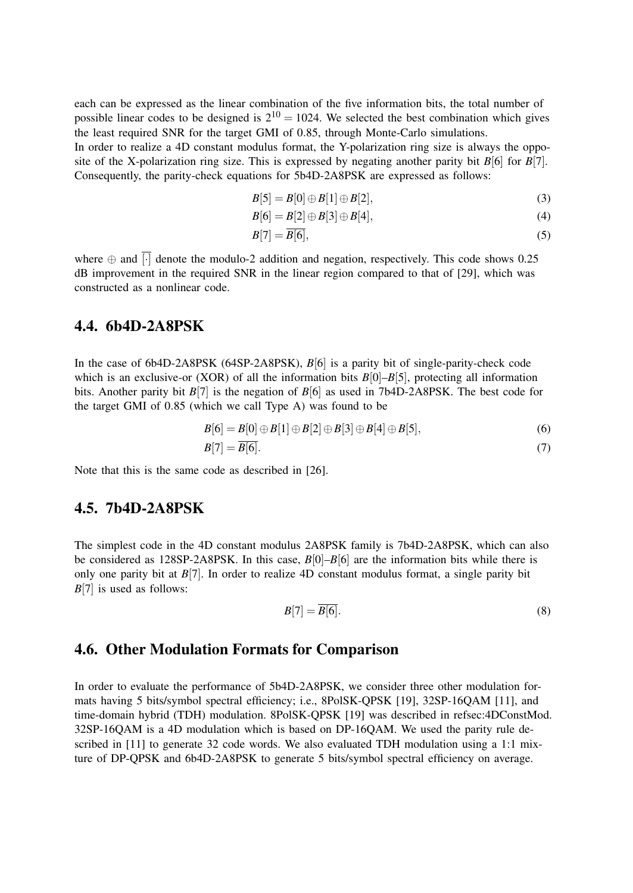each can be expressed as the linear combination of the five information bits, the total number of possible linear codes to be designed is  $2^{10} = 1024$ . We selected the best combination which gives the least required SNR for the target GMI of 0.85, through Monte-Carlo simulations.

In order to realize a 4D constant modulus format, the Y-polarization ring size is always the opposite of the X-polarization ring size. This is expressed by negating another parity bit  $B[6]$  for  $B[7]$ . Consequently, the parity-check equations for 5b4D-2A8PSK are expressed as follows:

$$
B[5] = B[0] \oplus B[1] \oplus B[2],\tag{3}
$$

$$
B[6] = B[2] \oplus B[3] \oplus B[4], \tag{4}
$$

$$
B[7] = \overline{B[6]},\tag{5}
$$

where  $\oplus$  and  $\overline{[\cdot]}$  denote the modulo-2 addition and negation, respectively. This code shows 0.25 dB improvement in the required SNR in the linear region compared to that of [29], which was constructed as a nonlinear code.

## 4.4. 6b4D-2A8PSK

In the case of 6b4D-2A8PSK (64SP-2A8PSK), *B*[6] is a parity bit of single-parity-check code which is an exclusive-or (XOR) of all the information bits  $B[0]-B[5]$ , protecting all information bits. Another parity bit  $B[7]$  is the negation of  $B[6]$  as used in 7b4D-2A8PSK. The best code for the target GMI of 0.85 (which we call Type A) was found to be

$$
B[6] = B[0] \oplus B[1] \oplus B[2] \oplus B[3] \oplus B[4] \oplus B[5],
$$
\n(6)  
\n
$$
B[7] = \overline{B[6]}.
$$
\n(7)

Note that this is the same code as described in [26].

## 4.5. 7b4D-2A8PSK

The simplest code in the 4D constant modulus 2A8PSK family is 7b4D-2A8PSK, which can also be considered as 128SP-2A8PSK. In this case, *B*[0]–*B*[6] are the information bits while there is only one parity bit at  $B[7]$ . In order to realize 4D constant modulus format, a single parity bit *B*[7] is used as follows:

$$
B[7] = \overline{B[6]}.
$$
 (8)

## 4.6. Other Modulation Formats for Comparison

In order to evaluate the performance of 5b4D-2A8PSK, we consider three other modulation formats having 5 bits/symbol spectral efficiency; i.e., 8PolSK-QPSK [19], 32SP-16QAM [11], and time-domain hybrid (TDH) modulation. 8PolSK-QPSK [19] was described in refsec:4DConstMod. 32SP-16QAM is a 4D modulation which is based on DP-16QAM. We used the parity rule described in [11] to generate 32 code words. We also evaluated TDH modulation using a 1:1 mixture of DP-QPSK and 6b4D-2A8PSK to generate 5 bits/symbol spectral efficiency on average.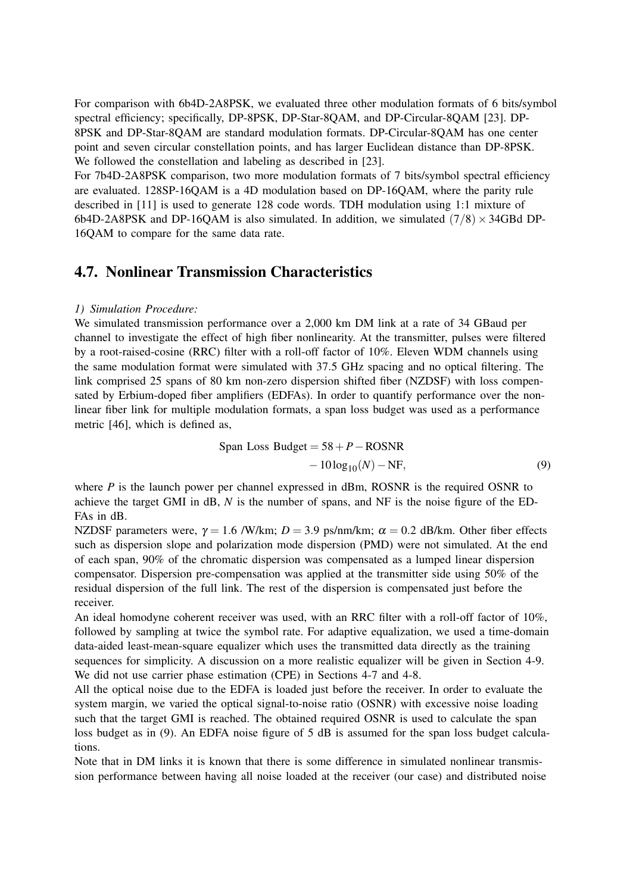For comparison with 6b4D-2A8PSK, we evaluated three other modulation formats of 6 bits/symbol spectral efficiency; specifically, DP-8PSK, DP-Star-8QAM, and DP-Circular-8QAM [23]. DP-8PSK and DP-Star-8QAM are standard modulation formats. DP-Circular-8QAM has one center point and seven circular constellation points, and has larger Euclidean distance than DP-8PSK. We followed the constellation and labeling as described in [23].

For 7b4D-2A8PSK comparison, two more modulation formats of 7 bits/symbol spectral efficiency are evaluated. 128SP-16QAM is a 4D modulation based on DP-16QAM, where the parity rule described in [11] is used to generate 128 code words. TDH modulation using 1:1 mixture of 6b4D-2A8PSK and DP-16QAM is also simulated. In addition, we simulated  $(7/8) \times 34$ GBd DP-16QAM to compare for the same data rate.

## 4.7. Nonlinear Transmission Characteristics

#### *1) Simulation Procedure:*

We simulated transmission performance over a 2,000 km DM link at a rate of 34 GBaud per channel to investigate the effect of high fiber nonlinearity. At the transmitter, pulses were filtered by a root-raised-cosine (RRC) filter with a roll-off factor of 10%. Eleven WDM channels using the same modulation format were simulated with 37.5 GHz spacing and no optical filtering. The link comprised 25 spans of 80 km non-zero dispersion shifted fiber (NZDSF) with loss compensated by Erbium-doped fiber amplifiers (EDFAs). In order to quantify performance over the nonlinear fiber link for multiple modulation formats, a span loss budget was used as a performance metric [46], which is defined as,

$$
\text{Span Loss Budget} = 58 + P - \text{ROSNR} - 10 \log_{10}(N) - \text{NF}, \tag{9}
$$

where  $P$  is the launch power per channel expressed in dBm, ROSNR is the required OSNR to achieve the target GMI in dB, *N* is the number of spans, and NF is the noise figure of the ED-FAs in dB.

NZDSF parameters were,  $\gamma = 1.6$  /W/km;  $D = 3.9$  ps/nm/km;  $\alpha = 0.2$  dB/km. Other fiber effects such as dispersion slope and polarization mode dispersion (PMD) were not simulated. At the end of each span, 90% of the chromatic dispersion was compensated as a lumped linear dispersion compensator. Dispersion pre-compensation was applied at the transmitter side using 50% of the residual dispersion of the full link. The rest of the dispersion is compensated just before the receiver.

An ideal homodyne coherent receiver was used, with an RRC filter with a roll-off factor of 10%, followed by sampling at twice the symbol rate. For adaptive equalization, we used a time-domain data-aided least-mean-square equalizer which uses the transmitted data directly as the training sequences for simplicity. A discussion on a more realistic equalizer will be given in Section 4-9. We did not use carrier phase estimation (CPE) in Sections 4-7 and 4-8.

All the optical noise due to the EDFA is loaded just before the receiver. In order to evaluate the system margin, we varied the optical signal-to-noise ratio (OSNR) with excessive noise loading such that the target GMI is reached. The obtained required OSNR is used to calculate the span loss budget as in (9). An EDFA noise figure of 5 dB is assumed for the span loss budget calculations.

Note that in DM links it is known that there is some difference in simulated nonlinear transmission performance between having all noise loaded at the receiver (our case) and distributed noise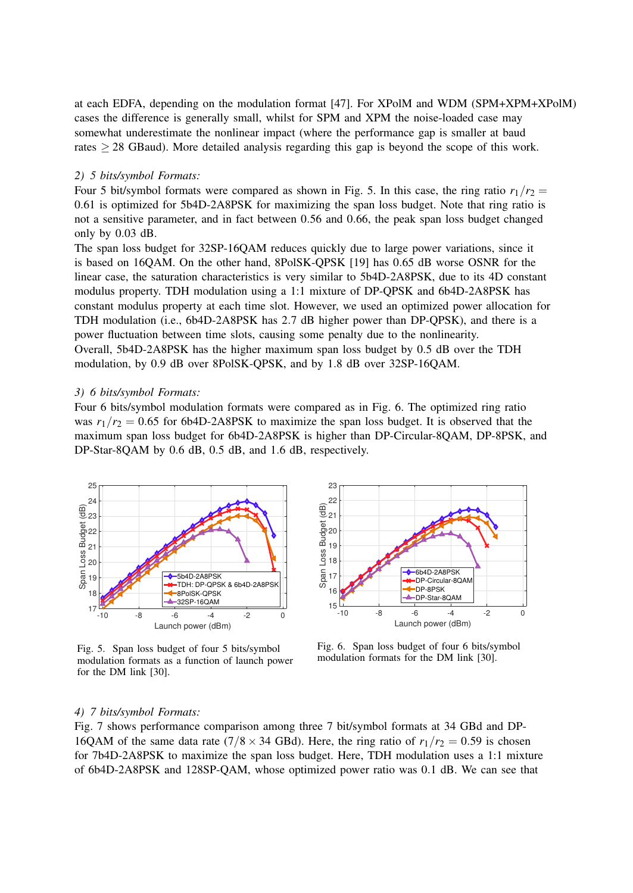at each EDFA, depending on the modulation format [47]. For XPolM and WDM (SPM+XPM+XPolM) cases the difference is generally small, whilst for SPM and XPM the noise-loaded case may somewhat underestimate the nonlinear impact (where the performance gap is smaller at baud rates ≥ 28 GBaud). More detailed analysis regarding this gap is beyond the scope of this work.

#### *2) 5 bits/symbol Formats:*

Four 5 bit/symbol formats were compared as shown in Fig. 5. In this case, the ring ratio  $r_1/r_2 =$ 0.61 is optimized for 5b4D-2A8PSK for maximizing the span loss budget. Note that ring ratio is not a sensitive parameter, and in fact between 0.56 and 0.66, the peak span loss budget changed only by 0.03 dB.

The span loss budget for 32SP-16QAM reduces quickly due to large power variations, since it is based on 16QAM. On the other hand, 8PolSK-QPSK [19] has 0.65 dB worse OSNR for the linear case, the saturation characteristics is very similar to 5b4D-2A8PSK, due to its 4D constant modulus property. TDH modulation using a 1:1 mixture of DP-QPSK and 6b4D-2A8PSK has constant modulus property at each time slot. However, we used an optimized power allocation for TDH modulation (i.e., 6b4D-2A8PSK has 2.7 dB higher power than DP-QPSK), and there is a power fluctuation between time slots, causing some penalty due to the nonlinearity. Overall, 5b4D-2A8PSK has the higher maximum span loss budget by 0.5 dB over the TDH modulation, by 0.9 dB over 8PolSK-QPSK, and by 1.8 dB over 32SP-16QAM.

#### *3) 6 bits/symbol Formats:*

Four 6 bits/symbol modulation formats were compared as in Fig. 6. The optimized ring ratio was  $r_1/r_2 = 0.65$  for 6b4D-2A8PSK to maximize the span loss budget. It is observed that the maximum span loss budget for 6b4D-2A8PSK is higher than DP-Circular-8QAM, DP-8PSK, and DP-Star-8QAM by 0.6 dB, 0.5 dB, and 1.6 dB, respectively.



Fig. 5. Span loss budget of four 5 bits/symbol modulation formats as a function of launch power for the DM link [30].



Fig. 6. Span loss budget of four 6 bits/symbol modulation formats for the DM link [30].

#### *4) 7 bits/symbol Formats:*

Fig. 7 shows performance comparison among three 7 bit/symbol formats at 34 GBd and DP-16QAM of the same data rate ( $7/8 \times 34$  GBd). Here, the ring ratio of  $r_1/r_2 = 0.59$  is chosen for 7b4D-2A8PSK to maximize the span loss budget. Here, TDH modulation uses a 1:1 mixture of 6b4D-2A8PSK and 128SP-QAM, whose optimized power ratio was 0.1 dB. We can see that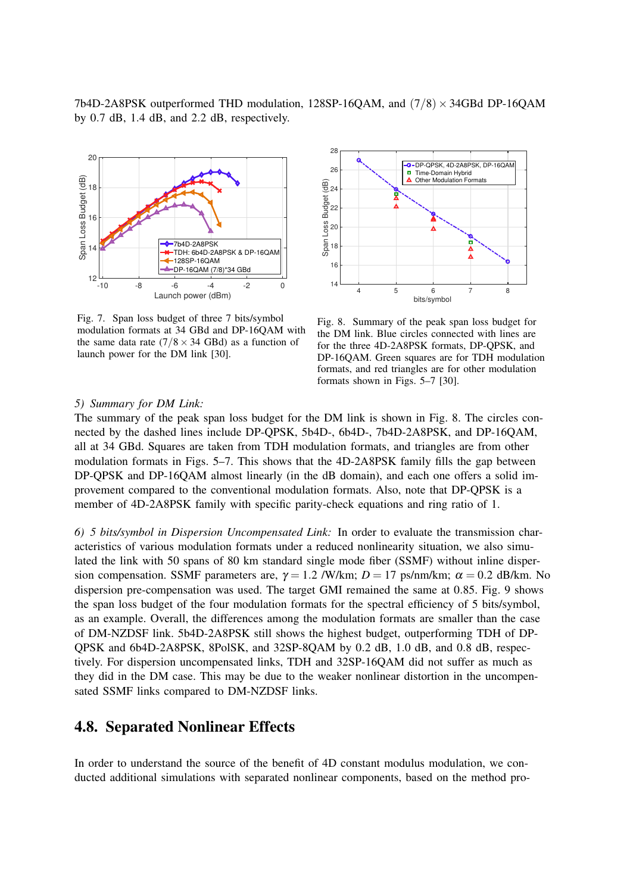7b4D-2A8PSK outperformed THD modulation,  $128SP-16QAM$ , and  $(7/8) \times 34GBd$  DP-16QAM by 0.7 dB, 1.4 dB, and 2.2 dB, respectively.



Fig. 7. Span loss budget of three 7 bits/symbol modulation formats at 34 GBd and DP-16QAM with the same data rate  $(7/8 \times 34 \text{ GBd})$  as a function of launch power for the DM link [30].



Fig. 8. Summary of the peak span loss budget for the DM link. Blue circles connected with lines are for the three 4D-2A8PSK formats, DP-QPSK, and DP-16QAM. Green squares are for TDH modulation formats, and red triangles are for other modulation formats shown in Figs. 5–7 [30].

#### *5) Summary for DM Link:*

The summary of the peak span loss budget for the DM link is shown in Fig. 8. The circles connected by the dashed lines include DP-QPSK, 5b4D-, 6b4D-, 7b4D-2A8PSK, and DP-16QAM, all at 34 GBd. Squares are taken from TDH modulation formats, and triangles are from other modulation formats in Figs. 5–7. This shows that the 4D-2A8PSK family fills the gap between DP-QPSK and DP-16QAM almost linearly (in the dB domain), and each one offers a solid improvement compared to the conventional modulation formats. Also, note that DP-QPSK is a member of 4D-2A8PSK family with specific parity-check equations and ring ratio of 1.

*6) 5 bits/symbol in Dispersion Uncompensated Link:* In order to evaluate the transmission characteristics of various modulation formats under a reduced nonlinearity situation, we also simulated the link with 50 spans of 80 km standard single mode fiber (SSMF) without inline dispersion compensation. SSMF parameters are,  $\gamma = 1.2$  /W/km;  $D = 17$  ps/nm/km;  $\alpha = 0.2$  dB/km. No dispersion pre-compensation was used. The target GMI remained the same at 0.85. Fig. 9 shows the span loss budget of the four modulation formats for the spectral efficiency of 5 bits/symbol, as an example. Overall, the differences among the modulation formats are smaller than the case of DM-NZDSF link. 5b4D-2A8PSK still shows the highest budget, outperforming TDH of DP-QPSK and 6b4D-2A8PSK, 8PolSK, and 32SP-8QAM by 0.2 dB, 1.0 dB, and 0.8 dB, respectively. For dispersion uncompensated links, TDH and 32SP-16QAM did not suffer as much as they did in the DM case. This may be due to the weaker nonlinear distortion in the uncompensated SSMF links compared to DM-NZDSF links.

## 4.8. Separated Nonlinear Effects

In order to understand the source of the benefit of 4D constant modulus modulation, we conducted additional simulations with separated nonlinear components, based on the method pro-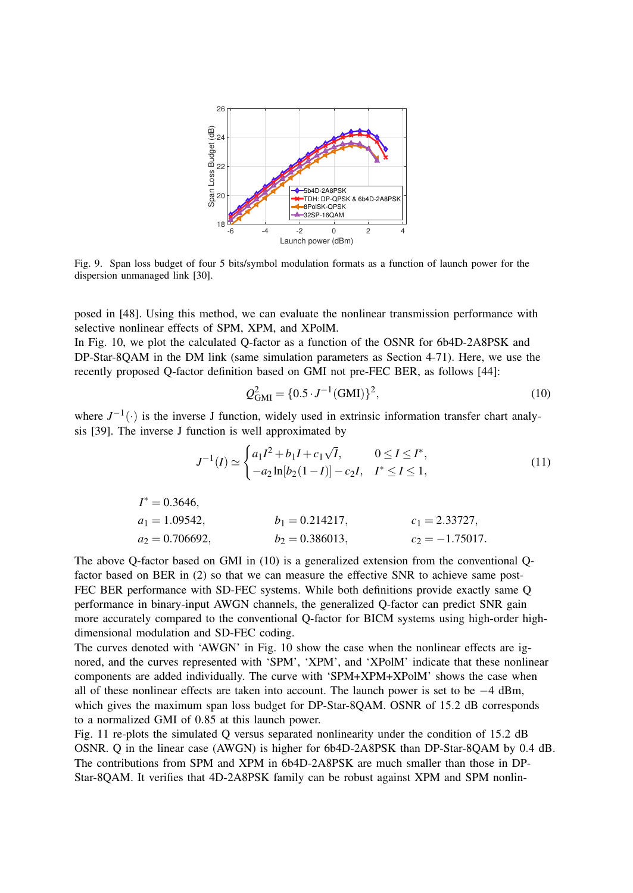

Fig. 9. Span loss budget of four 5 bits/symbol modulation formats as a function of launch power for the dispersion unmanaged link [30].

posed in [48]. Using this method, we can evaluate the nonlinear transmission performance with selective nonlinear effects of SPM, XPM, and XPolM.

In Fig. 10, we plot the calculated Q-factor as a function of the OSNR for 6b4D-2A8PSK and DP-Star-8QAM in the DM link (same simulation parameters as Section 4-71). Here, we use the recently proposed Q-factor definition based on GMI not pre-FEC BER, as follows [44]:

$$
Q_{\text{GMI}}^2 = \{0.5 \cdot J^{-1}(\text{GMI})\}^2,\tag{10}
$$

where  $J^{-1}(\cdot)$  is the inverse J function, widely used in extrinsic information transfer chart analysis [39]. The inverse J function is well approximated by

$$
J^{-1}(I) \simeq \begin{cases} a_1 I^2 + b_1 I + c_1 \sqrt{I}, & 0 \le I \le I^*, \\ -a_2 \ln[b_2(1-I)] - c_2 I, & I^* \le I \le 1, \end{cases}
$$
(11)

$$
I^* = 0.3646,
$$
  
\n $a_1 = 1.09542,$   
\n $a_2 = 0.706692,$   
\n $b_1 = 0.214217,$   
\n $b_2 = 0.386013,$   
\n $c_1 = 2.33727,$   
\n $c_2 = -1.75017.$ 

The above Q-factor based on GMI in (10) is a generalized extension from the conventional Qfactor based on BER in (2) so that we can measure the effective SNR to achieve same post-FEC BER performance with SD-FEC systems. While both definitions provide exactly same Q performance in binary-input AWGN channels, the generalized Q-factor can predict SNR gain more accurately compared to the conventional Q-factor for BICM systems using high-order highdimensional modulation and SD-FEC coding.

The curves denoted with 'AWGN' in Fig. 10 show the case when the nonlinear effects are ignored, and the curves represented with 'SPM', 'XPM', and 'XPolM' indicate that these nonlinear components are added individually. The curve with 'SPM+XPM+XPolM' shows the case when all of these nonlinear effects are taken into account. The launch power is set to be −4 dBm, which gives the maximum span loss budget for DP-Star-8QAM. OSNR of 15.2 dB corresponds to a normalized GMI of 0.85 at this launch power.

Fig. 11 re-plots the simulated Q versus separated nonlinearity under the condition of 15.2 dB OSNR. Q in the linear case (AWGN) is higher for 6b4D-2A8PSK than DP-Star-8QAM by 0.4 dB. The contributions from SPM and XPM in 6b4D-2A8PSK are much smaller than those in DP-Star-8QAM. It verifies that 4D-2A8PSK family can be robust against XPM and SPM nonlin-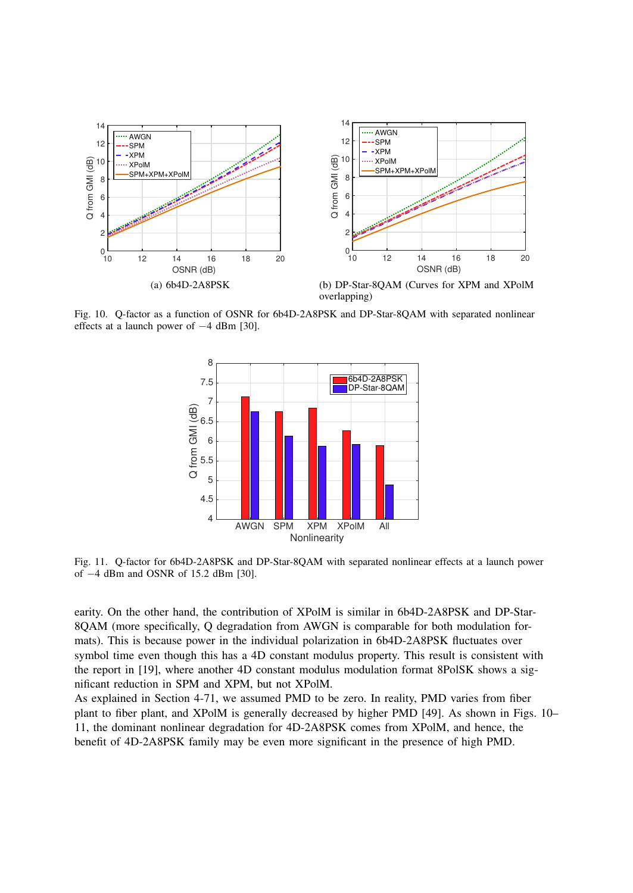

Fig. 10. Q-factor as a function of OSNR for 6b4D-2A8PSK and DP-Star-8QAM with separated nonlinear effects at a launch power of −4 dBm [30].



Fig. 11. Q-factor for 6b4D-2A8PSK and DP-Star-8QAM with separated nonlinear effects at a launch power of −4 dBm and OSNR of 15.2 dBm [30].

earity. On the other hand, the contribution of XPolM is similar in 6b4D-2A8PSK and DP-Star-8QAM (more specifically, Q degradation from AWGN is comparable for both modulation formats). This is because power in the individual polarization in 6b4D-2A8PSK fluctuates over symbol time even though this has a 4D constant modulus property. This result is consistent with the report in [19], where another 4D constant modulus modulation format 8PolSK shows a significant reduction in SPM and XPM, but not XPolM.

As explained in Section 4-71, we assumed PMD to be zero. In reality, PMD varies from fiber plant to fiber plant, and XPolM is generally decreased by higher PMD [49]. As shown in Figs. 10– 11, the dominant nonlinear degradation for 4D-2A8PSK comes from XPolM, and hence, the benefit of 4D-2A8PSK family may be even more significant in the presence of high PMD.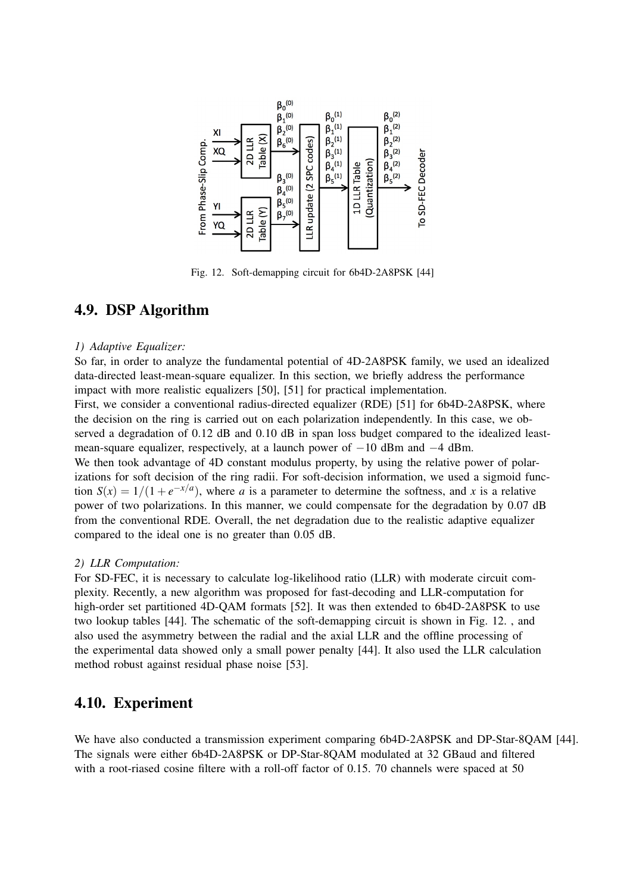

Fig. 12. Soft-demapping circuit for 6b4D-2A8PSK [44]

## 4.9. DSP Algorithm

#### *1) Adaptive Equalizer:*

So far, in order to analyze the fundamental potential of 4D-2A8PSK family, we used an idealized data-directed least-mean-square equalizer. In this section, we briefly address the performance impact with more realistic equalizers [50], [51] for practical implementation. First, we consider a conventional radius-directed equalizer (RDE) [51] for 6b4D-2A8PSK, where the decision on the ring is carried out on each polarization independently. In this case, we observed a degradation of 0.12 dB and 0.10 dB in span loss budget compared to the idealized leastmean-square equalizer, respectively, at a launch power of  $-10$  dBm and  $-4$  dBm. We then took advantage of 4D constant modulus property, by using the relative power of polarizations for soft decision of the ring radii. For soft-decision information, we used a sigmoid function  $S(x) = 1/(1 + e^{-x/a})$ , where *a* is a parameter to determine the softness, and *x* is a relative power of two polarizations. In this manner, we could compensate for the degradation by 0.07 dB from the conventional RDE. Overall, the net degradation due to the realistic adaptive equalizer compared to the ideal one is no greater than 0.05 dB.

#### *2) LLR Computation:*

For SD-FEC, it is necessary to calculate log-likelihood ratio (LLR) with moderate circuit complexity. Recently, a new algorithm was proposed for fast-decoding and LLR-computation for high-order set partitioned 4D-QAM formats [52]. It was then extended to 6b4D-2A8PSK to use two lookup tables [44]. The schematic of the soft-demapping circuit is shown in Fig. 12. , and also used the asymmetry between the radial and the axial LLR and the offline processing of the experimental data showed only a small power penalty [44]. It also used the LLR calculation method robust against residual phase noise [53].

## 4.10. Experiment

We have also conducted a transmission experiment comparing 6b4D-2A8PSK and DP-Star-8QAM [44]. The signals were either 6b4D-2A8PSK or DP-Star-8QAM modulated at 32 GBaud and filtered with a root-riased cosine filtere with a roll-off factor of 0.15. 70 channels were spaced at 50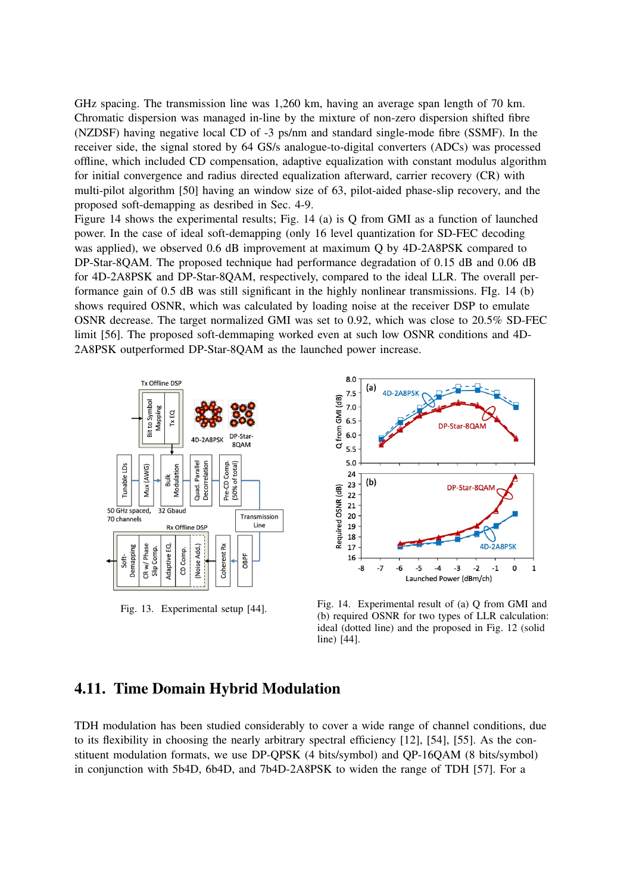GHz spacing. The transmission line was 1,260 km, having an average span length of 70 km. Chromatic dispersion was managed in-line by the mixture of non-zero dispersion shifted fibre (NZDSF) having negative local CD of -3 ps/nm and standard single-mode fibre (SSMF). In the receiver side, the signal stored by 64 GS/s analogue-to-digital converters (ADCs) was processed offline, which included CD compensation, adaptive equalization with constant modulus algorithm for initial convergence and radius directed equalization afterward, carrier recovery (CR) with multi-pilot algorithm [50] having an window size of 63, pilot-aided phase-slip recovery, and the proposed soft-demapping as desribed in Sec. 4-9.

Figure 14 shows the experimental results; Fig. 14 (a) is Q from GMI as a function of launched power. In the case of ideal soft-demapping (only 16 level quantization for SD-FEC decoding was applied), we observed 0.6 dB improvement at maximum Q by 4D-2A8PSK compared to DP-Star-8QAM. The proposed technique had performance degradation of 0.15 dB and 0.06 dB for 4D-2A8PSK and DP-Star-8QAM, respectively, compared to the ideal LLR. The overall performance gain of 0.5 dB was still significant in the highly nonlinear transmissions. FIg. 14 (b) shows required OSNR, which was calculated by loading noise at the receiver DSP to emulate OSNR decrease. The target normalized GMI was set to 0.92, which was close to 20.5% SD-FEC limit [56]. The proposed soft-demmaping worked even at such low OSNR conditions and 4D-2A8PSK outperformed DP-Star-8QAM as the launched power increase.





Fig. 13. Experimental setup [44]. Fig. 14. Experimental result of (a) Q from GMI and (b) required OSNR for two types of LLR calculation: ideal (dotted line) and the proposed in Fig. 12 (solid line) [44].

## 4.11. Time Domain Hybrid Modulation

TDH modulation has been studied considerably to cover a wide range of channel conditions, due to its flexibility in choosing the nearly arbitrary spectral efficiency [12], [54], [55]. As the constituent modulation formats, we use DP-QPSK (4 bits/symbol) and QP-16QAM (8 bits/symbol) in conjunction with 5b4D, 6b4D, and 7b4D-2A8PSK to widen the range of TDH [57]. For a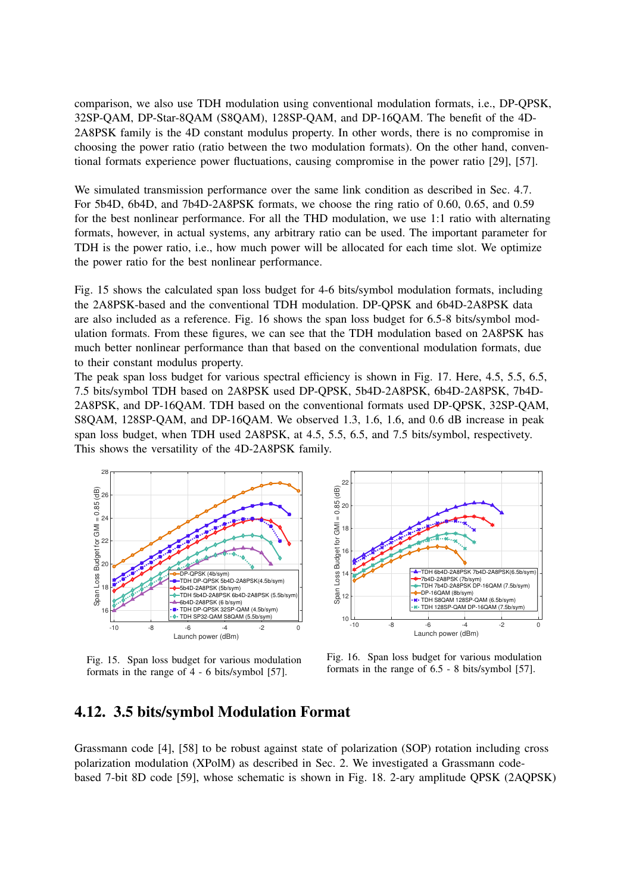comparison, we also use TDH modulation using conventional modulation formats, i.e., DP-QPSK, 32SP-QAM, DP-Star-8QAM (S8QAM), 128SP-QAM, and DP-16QAM. The benefit of the 4D-2A8PSK family is the 4D constant modulus property. In other words, there is no compromise in choosing the power ratio (ratio between the two modulation formats). On the other hand, conventional formats experience power fluctuations, causing compromise in the power ratio [29], [57].

We simulated transmission performance over the same link condition as described in Sec. 4.7. For 5b4D, 6b4D, and 7b4D-2A8PSK formats, we choose the ring ratio of 0.60, 0.65, and 0.59 for the best nonlinear performance. For all the THD modulation, we use 1:1 ratio with alternating formats, however, in actual systems, any arbitrary ratio can be used. The important parameter for TDH is the power ratio, i.e., how much power will be allocated for each time slot. We optimize the power ratio for the best nonlinear performance.

Fig. 15 shows the calculated span loss budget for 4-6 bits/symbol modulation formats, including the 2A8PSK-based and the conventional TDH modulation. DP-QPSK and 6b4D-2A8PSK data are also included as a reference. Fig. 16 shows the span loss budget for 6.5-8 bits/symbol modulation formats. From these figures, we can see that the TDH modulation based on 2A8PSK has much better nonlinear performance than that based on the conventional modulation formats, due to their constant modulus property.

The peak span loss budget for various spectral efficiency is shown in Fig. 17. Here, 4.5, 5.5, 6.5, 7.5 bits/symbol TDH based on 2A8PSK used DP-QPSK, 5b4D-2A8PSK, 6b4D-2A8PSK, 7b4D-2A8PSK, and DP-16QAM. TDH based on the conventional formats used DP-QPSK, 32SP-QAM, S8QAM, 128SP-QAM, and DP-16QAM. We observed 1.3, 1.6, 1.6, and 0.6 dB increase in peak span loss budget, when TDH used 2A8PSK, at 4.5, 5.5, 6.5, and 7.5 bits/symbol, respectivety. This shows the versatility of the 4D-2A8PSK family.



Fig. 15. Span loss budget for various modulation formats in the range of 4 - 6 bits/symbol [57].



Fig. 16. Span loss budget for various modulation formats in the range of 6.5 - 8 bits/symbol [57].

## 4.12. 3.5 bits/symbol Modulation Format

Grassmann code [4], [58] to be robust against state of polarization (SOP) rotation including cross polarization modulation (XPolM) as described in Sec. 2. We investigated a Grassmann codebased 7-bit 8D code [59], whose schematic is shown in Fig. 18. 2-ary amplitude QPSK (2AQPSK)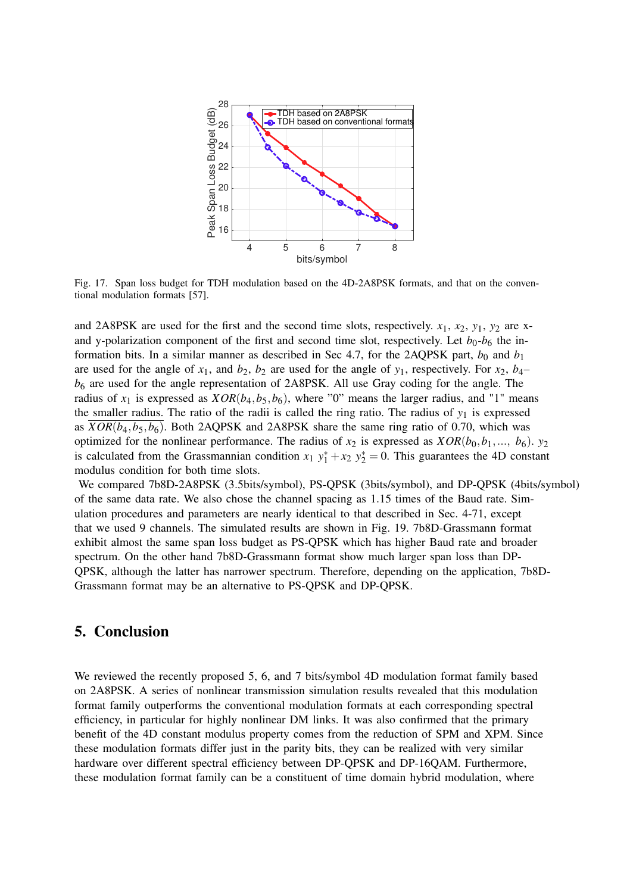

Fig. 17. Span loss budget for TDH modulation based on the 4D-2A8PSK formats, and that on the conventional modulation formats [57].

and 2A8PSK are used for the first and the second time slots, respectively.  $x_1$ ,  $x_2$ ,  $y_1$ ,  $y_2$  are xand y-polarization component of the first and second time slot, respectively. Let  $b_0$ - $b_6$  the information bits. In a similar manner as described in Sec 4.7, for the 2AQPSK part,  $b_0$  and  $b_1$ are used for the angle of  $x_1$ , and  $b_2$ ,  $b_2$  are used for the angle of  $y_1$ , respectively. For  $x_2$ ,  $b_4$ *b*<sup>6</sup> are used for the angle representation of 2A8PSK. All use Gray coding for the angle. The radius of  $x_1$  is expressed as  $XOR(b_4, b_5, b_6)$ , where "0" means the larger radius, and "1" means the smaller radius. The ratio of the radii is called the ring ratio. The radius of  $y_1$  is expressed as  $XOR(b_4, b_5, b_6)$ . Both 2AQPSK and 2A8PSK share the same ring ratio of 0.70, which was optimized for the nonlinear performance. The radius of  $x_2$  is expressed as  $XOR(b_0, b_1, ..., b_6)$ .  $y_2$ is calculated from the Grassmannian condition  $x_1 y_1^* + x_2 y_2^* = 0$ . This guarantees the 4D constant modulus condition for both time slots.

We compared 7b8D-2A8PSK (3.5bits/symbol), PS-QPSK (3bits/symbol), and DP-QPSK (4bits/symbol) of the same data rate. We also chose the channel spacing as 1.15 times of the Baud rate. Simulation procedures and parameters are nearly identical to that described in Sec. 4-71, except that we used 9 channels. The simulated results are shown in Fig. 19. 7b8D-Grassmann format exhibit almost the same span loss budget as PS-QPSK which has higher Baud rate and broader spectrum. On the other hand 7b8D-Grassmann format show much larger span loss than DP-QPSK, although the latter has narrower spectrum. Therefore, depending on the application, 7b8D-Grassmann format may be an alternative to PS-QPSK and DP-QPSK.

## 5. Conclusion

We reviewed the recently proposed 5, 6, and 7 bits/symbol 4D modulation format family based on 2A8PSK. A series of nonlinear transmission simulation results revealed that this modulation format family outperforms the conventional modulation formats at each corresponding spectral efficiency, in particular for highly nonlinear DM links. It was also confirmed that the primary benefit of the 4D constant modulus property comes from the reduction of SPM and XPM. Since these modulation formats differ just in the parity bits, they can be realized with very similar hardware over different spectral efficiency between DP-QPSK and DP-16QAM. Furthermore, these modulation format family can be a constituent of time domain hybrid modulation, where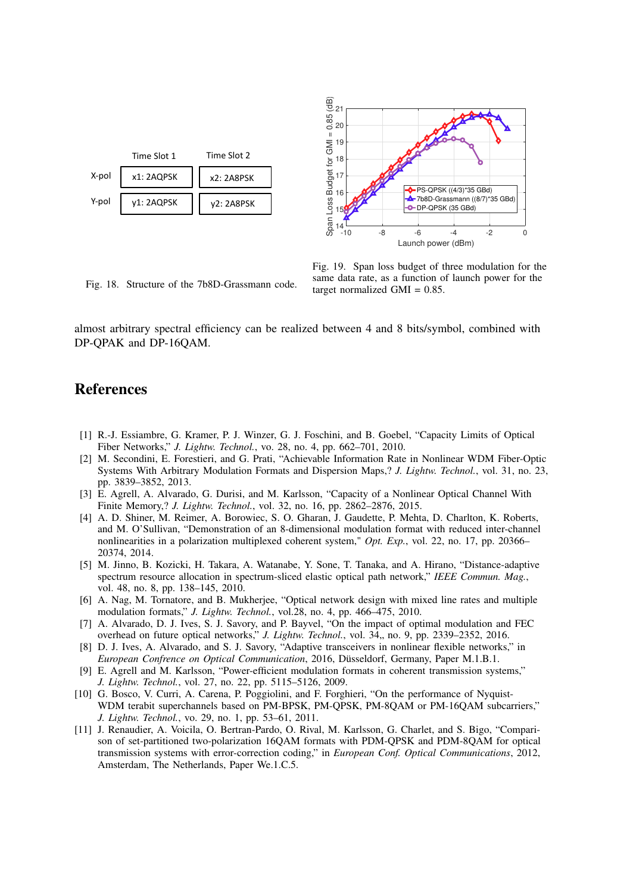



Fig. 18. Structure of the 7b8D-Grassmann code. Fig. 19. Span loss budget of three modulation for the same data rate, as a function of launch power for the target normalized GMI = 0.85.

almost arbitrary spectral efficiency can be realized between 4 and 8 bits/symbol, combined with DP-QPAK and DP-16QAM.

## References

- [1] R.-J. Essiambre, G. Kramer, P. J. Winzer, G. J. Foschini, and B. Goebel, "Capacity Limits of Optical Fiber Networks," *J. Lightw. Technol.*, vo. 28, no. 4, pp. 662–701, 2010.
- [2] M. Secondini, E. Forestieri, and G. Prati, "Achievable Information Rate in Nonlinear WDM Fiber-Optic Systems With Arbitrary Modulation Formats and Dispersion Maps,? *J. Lightw. Technol.*, vol. 31, no. 23, pp. 3839–3852, 2013.
- [3] E. Agrell, A. Alvarado, G. Durisi, and M. Karlsson, "Capacity of a Nonlinear Optical Channel With Finite Memory,? *J. Lightw. Technol.*, vol. 32, no. 16, pp. 2862–2876, 2015.
- [4] A. D. Shiner, M. Reimer, A. Borowiec, S. O. Gharan, J. Gaudette, P. Mehta, D. Charlton, K. Roberts, and M. O'Sullivan, "Demonstration of an 8-dimensional modulation format with reduced inter-channel nonlinearities in a polarization multiplexed coherent system," *Opt. Exp.*, vol. 22, no. 17, pp. 20366– 20374, 2014.
- [5] M. Jinno, B. Kozicki, H. Takara, A. Watanabe, Y. Sone, T. Tanaka, and A. Hirano, "Distance-adaptive spectrum resource allocation in spectrum-sliced elastic optical path network," *IEEE Commun. Mag.*, vol. 48, no. 8, pp. 138–145, 2010.
- [6] A. Nag, M. Tornatore, and B. Mukherjee, "Optical network design with mixed line rates and multiple modulation formats," *J. Lightw. Technol.*, vol.28, no. 4, pp. 466–475, 2010.
- [7] A. Alvarado, D. J. Ives, S. J. Savory, and P. Bayvel, "On the impact of optimal modulation and FEC overhead on future optical networks," *J. Lightw. Technol.*, vol. 34,, no. 9, pp. 2339–2352, 2016.
- [8] D. J. Ives, A. Alvarado, and S. J. Savory, "Adaptive transceivers in nonlinear flexible networks," in *European Confrence on Optical Communication*, 2016, Düsseldorf, Germany, Paper M.1.B.1.
- [9] E. Agrell and M. Karlsson, "Power-efficient modulation formats in coherent transmission systems," *J. Lightw. Technol.*, vol. 27, no. 22, pp. 5115–5126, 2009.
- [10] G. Bosco, V. Curri, A. Carena, P. Poggiolini, and F. Forghieri, "On the performance of Nyquist-WDM terabit superchannels based on PM-BPSK, PM-QPSK, PM-8QAM or PM-16QAM subcarriers," *J. Lightw. Technol.*, vo. 29, no. 1, pp. 53–61, 2011.
- [11] J. Renaudier, A. Voicila, O. Bertran-Pardo, O. Rival, M. Karlsson, G. Charlet, and S. Bigo, "Comparison of set-partitioned two-polarization 16QAM formats with PDM-QPSK and PDM-8QAM for optical transmission systems with error-correction coding," in *European Conf. Optical Communications*, 2012, Amsterdam, The Netherlands, Paper We.1.C.5.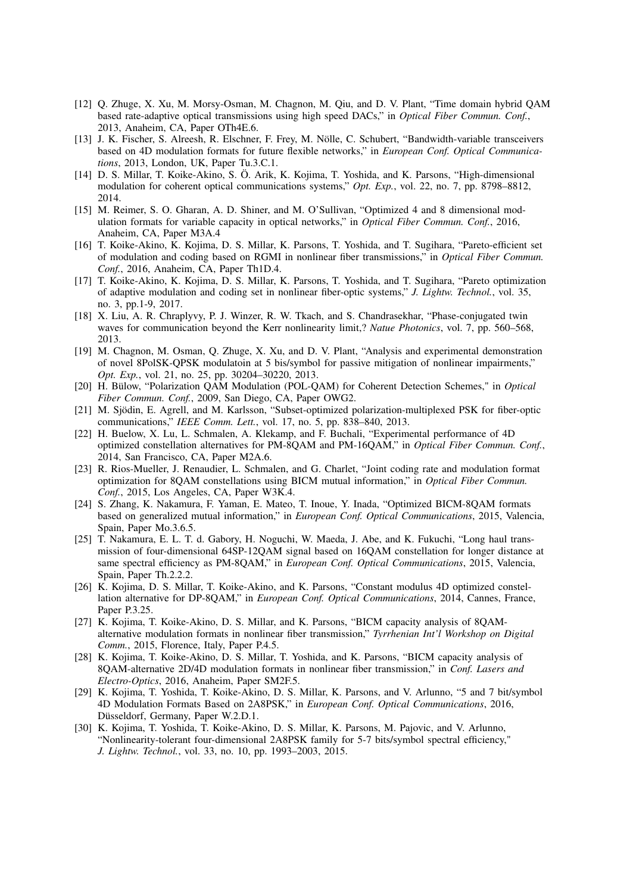- [12] Q. Zhuge, X. Xu, M. Morsy-Osman, M. Chagnon, M. Qiu, and D. V. Plant, "Time domain hybrid QAM based rate-adaptive optical transmissions using high speed DACs," in *Optical Fiber Commun. Conf.*, 2013, Anaheim, CA, Paper OTh4E.6.
- [13] J. K. Fischer, S. Alreesh, R. Elschner, F. Frey, M. Nölle, C. Schubert, "Bandwidth-variable transceivers based on 4D modulation formats for future flexible networks," in *European Conf. Optical Communications*, 2013, London, UK, Paper Tu.3.C.1.
- [14] D. S. Millar, T. Koike-Akino, S. Ö. Arik, K. Kojima, T. Yoshida, and K. Parsons, "High-dimensional modulation for coherent optical communications systems," *Opt. Exp.*, vol. 22, no. 7, pp. 8798–8812, 2014.
- [15] M. Reimer, S. O. Gharan, A. D. Shiner, and M. O'Sullivan, "Optimized 4 and 8 dimensional modulation formats for variable capacity in optical networks," in *Optical Fiber Commun. Conf.*, 2016, Anaheim, CA, Paper M3A.4
- [16] T. Koike-Akino, K. Kojima, D. S. Millar, K. Parsons, T. Yoshida, and T. Sugihara, "Pareto-efficient set of modulation and coding based on RGMI in nonlinear fiber transmissions," in *Optical Fiber Commun. Conf.*, 2016, Anaheim, CA, Paper Th1D.4.
- [17] T. Koike-Akino, K. Kojima, D. S. Millar, K. Parsons, T. Yoshida, and T. Sugihara, "Pareto optimization of adaptive modulation and coding set in nonlinear fiber-optic systems," *J. Lightw. Technol.*, vol. 35, no. 3, pp.1-9, 2017.
- [18] X. Liu, A. R. Chraplyvy, P. J. Winzer, R. W. Tkach, and S. Chandrasekhar, "Phase-conjugated twin waves for communication beyond the Kerr nonlinearity limit,? *Natue Photonics*, vol. 7, pp. 560–568, 2013.
- [19] M. Chagnon, M. Osman, Q. Zhuge, X. Xu, and D. V. Plant, "Analysis and experimental demonstration of novel 8PolSK-QPSK modulatoin at 5 bis/symbol for passive mitigation of nonlinear impairments," *Opt. Exp.*, vol. 21, no. 25, pp. 30204–30220, 2013.
- [20] H. Bülow, "Polarization QAM Modulation (POL-QAM) for Coherent Detection Schemes," in *Optical Fiber Commun. Conf.*, 2009, San Diego, CA, Paper OWG2.
- [21] M. Sjödin, E. Agrell, and M. Karlsson, "Subset-optimized polarization-multiplexed PSK for fiber-optic communications," *IEEE Comm. Lett.*, vol. 17, no. 5, pp. 838–840, 2013.
- [22] H. Buelow, X. Lu, L. Schmalen, A. Klekamp, and F. Buchali, "Experimental performance of 4D optimized constellation alternatives for PM-8QAM and PM-16QAM," in *Optical Fiber Commun. Conf.*, 2014, San Francisco, CA, Paper M2A.6.
- [23] R. Rios-Mueller, J. Renaudier, L. Schmalen, and G. Charlet, "Joint coding rate and modulation format optimization for 8QAM constellations using BICM mutual information," in *Optical Fiber Commun. Conf.*, 2015, Los Angeles, CA, Paper W3K.4.
- [24] S. Zhang, K. Nakamura, F. Yaman, E. Mateo, T. Inoue, Y. Inada, "Optimized BICM-8QAM formats based on generalized mutual information," in *European Conf. Optical Communications*, 2015, Valencia, Spain, Paper Mo.3.6.5.
- [25] T. Nakamura, E. L. T. d. Gabory, H. Noguchi, W. Maeda, J. Abe, and K. Fukuchi, "Long haul transmission of four-dimensional 64SP-12QAM signal based on 16QAM constellation for longer distance at same spectral efficiency as PM-8QAM," in *European Conf. Optical Communications*, 2015, Valencia, Spain, Paper Th.2.2.2.
- [26] K. Kojima, D. S. Millar, T. Koike-Akino, and K. Parsons, "Constant modulus 4D optimized constellation alternative for DP-8QAM," in *European Conf. Optical Communications*, 2014, Cannes, France, Paper P.3.25.
- [27] K. Kojima, T. Koike-Akino, D. S. Millar, and K. Parsons, "BICM capacity analysis of 8QAMalternative modulation formats in nonlinear fiber transmission," *Tyrrhenian Int'l Workshop on Digital Comm.*, 2015, Florence, Italy, Paper P.4.5.
- [28] K. Kojima, T. Koike-Akino, D. S. Millar, T. Yoshida, and K. Parsons, "BICM capacity analysis of 8QAM-alternative 2D/4D modulation formats in nonlinear fiber transmission," in *Conf. Lasers and Electro-Optics*, 2016, Anaheim, Paper SM2F.5.
- [29] K. Kojima, T. Yoshida, T. Koike-Akino, D. S. Millar, K. Parsons, and V. Arlunno, "5 and 7 bit/symbol 4D Modulation Formats Based on 2A8PSK," in *European Conf. Optical Communications*, 2016, Düsseldorf, Germany, Paper W.2.D.1.
- [30] K. Kojima, T. Yoshida, T. Koike-Akino, D. S. Millar, K. Parsons, M. Pajovic, and V. Arlunno, "Nonlinearity-tolerant four-dimensional 2A8PSK family for 5-7 bits/symbol spectral efficiency," *J. Lightw. Technol.*, vol. 33, no. 10, pp. 1993–2003, 2015.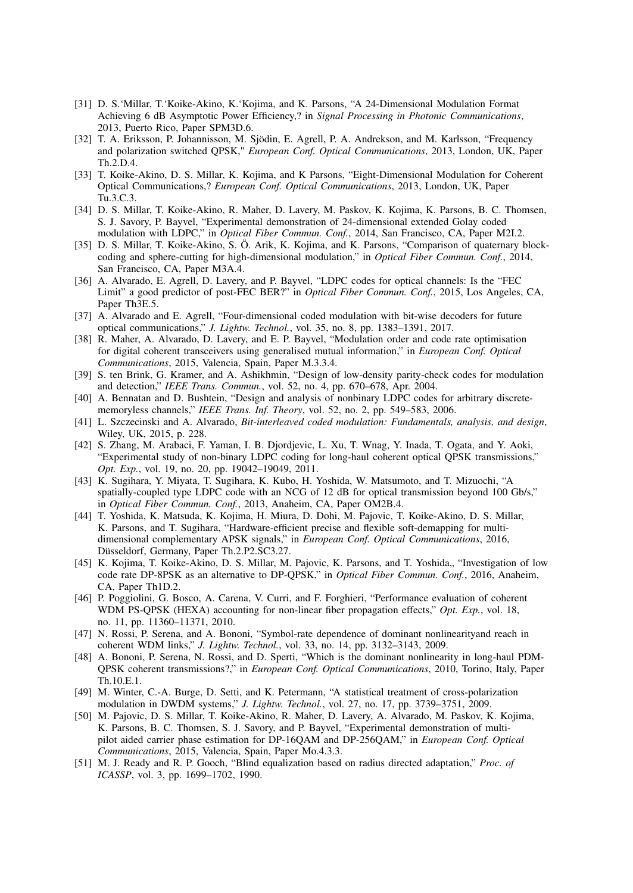- [31] D. S.'Millar, T.'Koike-Akino, K.'Kojima, and K. Parsons, "A 24-Dimensional Modulation Format Achieving 6 dB Asymptotic Power Efficiency,? in *Signal Processing in Photonic Communications*, 2013, Puerto Rico, Paper SPM3D.6.
- [32] T. A. Eriksson, P. Johannisson, M. Sjödin, E. Agrell, P. A. Andrekson, and M. Karlsson, "Frequency and polarization switched QPSK," *European Conf. Optical Communications*, 2013, London, UK, Paper Th.2.D.4.
- [33] T. Koike-Akino, D. S. Millar, K. Kojima, and K Parsons, "Eight-Dimensional Modulation for Coherent Optical Communications,? *European Conf. Optical Communications*, 2013, London, UK, Paper Tu.3.C.3.
- [34] D. S. Millar, T. Koike-Akino, R. Maher, D. Lavery, M. Paskov, K. Kojima, K. Parsons, B. C. Thomsen, S. J. Savory, P. Bayvel, "Experimental demonstration of 24-dimensional extended Golay coded modulation with LDPC," in *Optical Fiber Commun. Conf.*, 2014, San Francisco, CA, Paper M2I.2.
- [35] D. S. Millar, T. Koike-Akino, S. Ö. Arik, K. Kojima, and K. Parsons, "Comparison of quaternary blockcoding and sphere-cutting for high-dimensional modulation," in *Optical Fiber Commun. Conf.*, 2014, San Francisco, CA, Paper M3A.4.
- [36] A. Alvarado, E. Agrell, D. Lavery, and P. Bayvel, "LDPC codes for optical channels: Is the "FEC Limit" a good predictor of post-FEC BER?" in *Optical Fiber Commun. Conf.*, 2015, Los Angeles, CA, Paper Th3E.5.
- [37] A. Alvarado and E. Agrell, "Four-dimensional coded modulation with bit-wise decoders for future optical communications," *J. Lightw. Technol.*, vol. 35, no. 8, pp. 1383–1391, 2017.
- [38] R. Maher, A. Alvarado, D. Lavery, and E. P. Bayvel, "Modulation order and code rate optimisation for digital coherent transceivers using generalised mutual information," in *European Conf. Optical Communications*, 2015, Valencia, Spain, Paper M.3.3.4.
- [39] S. ten Brink, G. Kramer, and A. Ashikhmin, "Design of low-density parity-check codes for modulation and detection," *IEEE Trans. Commun.*, vol. 52, no. 4, pp. 670–678, Apr. 2004.
- [40] A. Bennatan and D. Bushtein, "Design and analysis of nonbinary LDPC codes for arbitrary discretememoryless channels," *IEEE Trans. Inf. Theory*, vol. 52, no. 2, pp. 549–583, 2006.
- [41] L. Szczecinski and A. Alvarado, *Bit-interleaved coded modulation: Fundamentals, analysis, and design*, Wiley, UK, 2015, p. 228.
- [42] S. Zhang, M. Arabaci, F. Yaman, I. B. Djordjevic, L. Xu, T. Wnag, Y. Inada, T. Ogata, and Y. Aoki, "Experimental study of non-binary LDPC coding for long-haul coherent optical QPSK transmissions," *Opt. Exp.*, vol. 19, no. 20, pp. 19042–19049, 2011.
- [43] K. Sugihara, Y. Miyata, T. Sugihara, K. Kubo, H. Yoshida, W. Matsumoto, and T. Mizuochi, "A spatially-coupled type LDPC code with an NCG of 12 dB for optical transmission beyond 100 Gb/s," in *Optical Fiber Commun. Conf.*, 2013, Anaheim, CA, Paper OM2B.4.
- [44] T. Yoshida, K. Matsuda, K. Kojima, H. Miura, D. Dohi, M. Pajovic, T. Koike-Akino, D. S. Millar, K. Parsons, and T. Sugihara, "Hardware-efficient precise and flexible soft-demapping for multidimensional complementary APSK signals," in *European Conf. Optical Communications*, 2016, Düsseldorf, Germany, Paper Th.2.P2.SC3.27.
- [45] K. Kojima, T. Koike-Akino, D. S. Millar, M. Pajovic, K. Parsons, and T. Yoshida,, "Investigation of low code rate DP-8PSK as an alternative to DP-QPSK," in *Optical Fiber Commun. Conf.*, 2016, Anaheim, CA, Paper Th1D.2.
- [46] P. Poggiolini, G. Bosco, A. Carena, V. Curri, and F. Forghieri, "Performance evaluation of coherent WDM PS-QPSK (HEXA) accounting for non-linear fiber propagation effects," *Opt. Exp.*, vol. 18, no. 11, pp. 11360–11371, 2010.
- [47] N. Rossi, P. Serena, and A. Bononi, "Symbol-rate dependence of dominant nonlinearityand reach in coherent WDM links," *J. Lightw. Technol.*, vol. 33, no. 14, pp. 3132–3143, 2009.
- [48] A. Bononi, P. Serena, N. Rossi, and D. Sperti, "Which is the dominant nonlinearity in long-haul PDM-QPSK coherent transmissions?," in *European Conf. Optical Communications*, 2010, Torino, Italy, Paper Th.10.E.1.
- [49] M. Winter, C.-A. Burge, D. Setti, and K. Petermann, "A statistical treatment of cross-polarization modulation in DWDM systems," *J. Lightw. Technol.*, vol. 27, no. 17, pp. 3739–3751, 2009.
- [50] M. Pajovic, D. S. Millar, T. Koike-Akino, R. Maher, D. Lavery, A. Alvarado, M. Paskov, K. Kojima, K. Parsons, B. C. Thomsen, S. J. Savory, and P. Bayvel, "Experimental demonstration of multipilot aided carrier phase estimation for DP-16QAM and DP-256QAM," in *European Conf. Optical Communications*, 2015, Valencia, Spain, Paper Mo.4.3.3.
- [51] M. J. Ready and R. P. Gooch, "Blind equalization based on radius directed adaptation," *Proc. of ICASSP*, vol. 3, pp. 1699–1702, 1990.